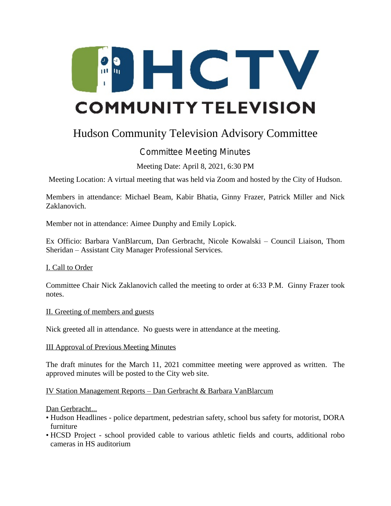

# Hudson Community Television Advisory Committee

# Committee Meeting Minutes

Meeting Date: April 8, 2021, 6:30 PM

Meeting Location: A virtual meeting that was held via Zoom and hosted by the City of Hudson.

Members in attendance: Michael Beam, Kabir Bhatia, Ginny Frazer, Patrick Miller and Nick Zaklanovich.

Member not in attendance: Aimee Dunphy and Emily Lopick.

Ex Officio: Barbara VanBlarcum, Dan Gerbracht, Nicole Kowalski – Council Liaison, Thom Sheridan – Assistant City Manager Professional Services.

I. Call to Order

Committee Chair Nick Zaklanovich called the meeting to order at 6:33 P.M. Ginny Frazer took notes.

#### II. Greeting of members and guests

Nick greeted all in attendance. No guests were in attendance at the meeting.

#### III Approval of Previous Meeting Minutes

The draft minutes for the March 11, 2021 committee meeting were approved as written. The approved minutes will be posted to the City web site.

IV Station Management Reports – Dan Gerbracht & Barbara VanBlarcum

Dan Gerbracht...

- Hudson Headlines police department, pedestrian safety, school bus safety for motorist, DORA furniture
- HCSD Project school provided cable to various athletic fields and courts, additional robo cameras in HS auditorium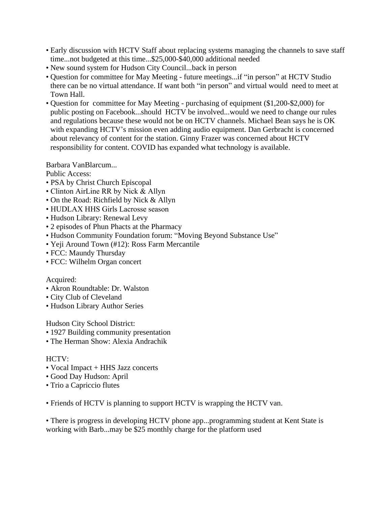- Early discussion with HCTV Staff about replacing systems managing the channels to save staff time...not budgeted at this time...\$25,000-\$40,000 additional needed
- New sound system for Hudson City Council...back in person
- Question for committee for May Meeting future meetings...if "in person" at HCTV Studio there can be no virtual attendance. If want both "in person" and virtual would need to meet at Town Hall.
- Question for committee for May Meeting purchasing of equipment (\$1,200-\$2,000) for public posting on Facebook...should HCTV be involved...would we need to change our rules and regulations because these would not be on HCTV channels. Michael Bean says he is OK with expanding HCTV's mission even adding audio equipment. Dan Gerbracht is concerned about relevancy of content for the station. Ginny Frazer was concerned about HCTV responsibility for content. COVID has expanded what technology is available.

Barbara VanBlarcum...

Public Access:

- PSA by Christ Church Episcopal
- Clinton AirLine RR by Nick & Allyn
- On the Road: Richfield by Nick & Allyn
- HUDLAX HHS Girls Lacrosse season
- Hudson Library: Renewal Levy
- 2 episodes of Phun Phacts at the Pharmacy
- Hudson Community Foundation forum: "Moving Beyond Substance Use"
- Yeji Around Town (#12): Ross Farm Mercantile
- FCC: Maundy Thursday
- FCC: Wilhelm Organ concert

## Acquired:

- Akron Roundtable: Dr. Walston
- City Club of Cleveland
- Hudson Library Author Series

Hudson City School District:

- 1927 Building community presentation
- The Herman Show: Alexia Andrachik

## HCTV:

- Vocal Impact + HHS Jazz concerts
- Good Day Hudson: April
- Trio a Capriccio flutes

• Friends of HCTV is planning to support HCTV is wrapping the HCTV van.

• There is progress in developing HCTV phone app...programming student at Kent State is working with Barb...may be \$25 monthly charge for the platform used